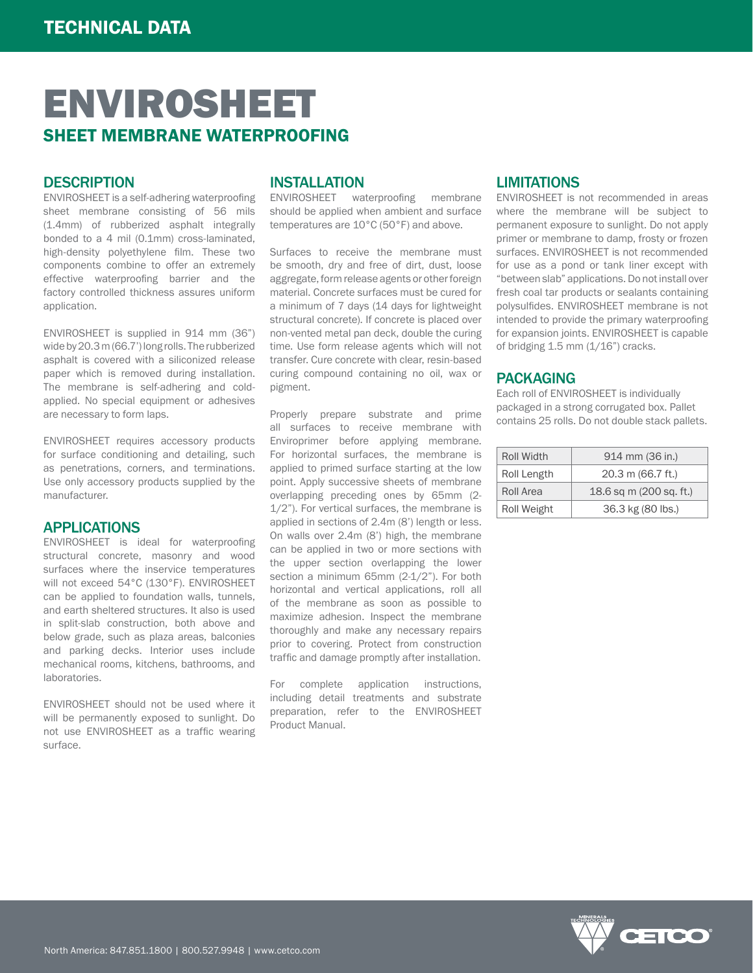# ENVIROSHEET SHEET MEMBRANE WATERPROOFING

## **DESCRIPTION**

ENVIROSHEET is a self-adhering waterproofing sheet membrane consisting of 56 mils (1.4mm) of rubberized asphalt integrally bonded to a 4 mil (0.1mm) cross-laminated, high-density polyethylene film. These two components combine to offer an extremely effective waterproofing barrier and the factory controlled thickness assures uniform application.

ENVIROSHEET is supplied in 914 mm (36") wide by 20.3 m (66.7') long rolls. The rubberized asphalt is covered with a siliconized release paper which is removed during installation. The membrane is self-adhering and coldapplied. No special equipment or adhesives are necessary to form laps.

ENVIROSHEET requires accessory products for surface conditioning and detailing, such as penetrations, corners, and terminations. Use only accessory products supplied by the manufacturer.

### APPLICATIONS

ENVIROSHEET is ideal for waterproofing structural concrete, masonry and wood surfaces where the inservice temperatures will not exceed 54°C (130°F). ENVIROSHEET can be applied to foundation walls, tunnels, and earth sheltered structures. It also is used in split-slab construction, both above and below grade, such as plaza areas, balconies and parking decks. Interior uses include mechanical rooms, kitchens, bathrooms, and laboratories.

ENVIROSHEET should not be used where it will be permanently exposed to sunlight. Do not use ENVIROSHEET as a traffic wearing surface.

## INSTALLATION

ENVIROSHEET waterproofing membrane should be applied when ambient and surface temperatures are 10°C (50°F) and above.

Surfaces to receive the membrane must be smooth, dry and free of dirt, dust, loose aggregate, form release agents or other foreign material. Concrete surfaces must be cured for a minimum of 7 days (14 days for lightweight structural concrete). If concrete is placed over non-vented metal pan deck, double the curing time. Use form release agents which will not transfer. Cure concrete with clear, resin-based curing compound containing no oil, wax or pigment.

Properly prepare substrate and prime all surfaces to receive membrane with Enviroprimer before applying membrane. For horizontal surfaces, the membrane is applied to primed surface starting at the low point. Apply successive sheets of membrane overlapping preceding ones by 65mm (2- 1/2"). For vertical surfaces, the membrane is applied in sections of 2.4m (8') length or less. On walls over 2.4m (8') high, the membrane can be applied in two or more sections with the upper section overlapping the lower section a minimum 65mm (2-1/2"). For both horizontal and vertical applications, roll all of the membrane as soon as possible to maximize adhesion. Inspect the membrane thoroughly and make any necessary repairs prior to covering. Protect from construction traffic and damage promptly after installation.

For complete application instructions, including detail treatments and substrate preparation, refer to the ENVIROSHEET Product Manual.

## **LIMITATIONS**

ENVIROSHEET is not recommended in areas where the membrane will be subject to permanent exposure to sunlight. Do not apply primer or membrane to damp, frosty or frozen surfaces. ENVIROSHEET is not recommended for use as a pond or tank liner except with "between slab" applications. Do not install over fresh coal tar products or sealants containing polysulfides. ENVIROSHEET membrane is not intended to provide the primary waterproofing for expansion joints. ENVIROSHEET is capable of bridging  $1.5$  mm  $(1/16)$ " cracks.

### PACKAGING

Each roll of ENVIROSHEET is individually packaged in a strong corrugated box. Pallet contains 25 rolls. Do not double stack pallets.

| Roll Width  | 914 mm (36 in.)         |
|-------------|-------------------------|
| Roll Length | 20.3 m (66.7 ft.)       |
| Roll Area   | 18.6 sq m (200 sq. ft.) |
| Roll Weight | 36.3 kg (80 lbs.)       |